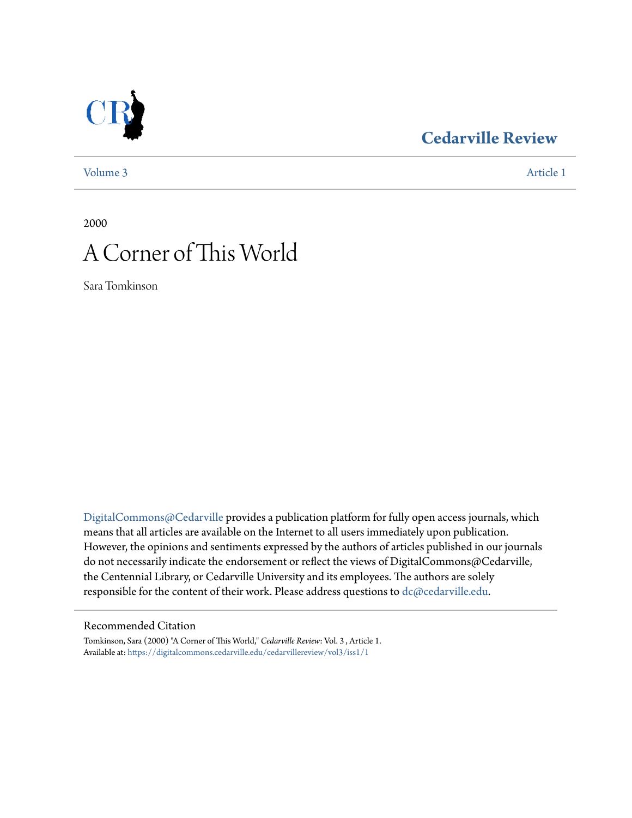## **[Cedarville Review](https://digitalcommons.cedarville.edu/cedarvillereview?utm_source=digitalcommons.cedarville.edu%2Fcedarvillereview%2Fvol3%2Fiss1%2F1&utm_medium=PDF&utm_campaign=PDFCoverPages)**



[Volume 3](https://digitalcommons.cedarville.edu/cedarvillereview/vol3?utm_source=digitalcommons.cedarville.edu%2Fcedarvillereview%2Fvol3%2Fiss1%2F1&utm_medium=PDF&utm_campaign=PDFCoverPages) [Article 1](https://digitalcommons.cedarville.edu/cedarvillereview/vol3/iss1/1?utm_source=digitalcommons.cedarville.edu%2Fcedarvillereview%2Fvol3%2Fiss1%2F1&utm_medium=PDF&utm_campaign=PDFCoverPages)

2000

# A Corner of This World

Sara Tomkinson

[DigitalCommons@Cedarville](http://digitalcommons.cedarville.edu) provides a publication platform for fully open access journals, which means that all articles are available on the Internet to all users immediately upon publication. However, the opinions and sentiments expressed by the authors of articles published in our journals do not necessarily indicate the endorsement or reflect the views of DigitalCommons@Cedarville, the Centennial Library, or Cedarville University and its employees. The authors are solely responsible for the content of their work. Please address questions to [dc@cedarville.edu](mailto:dc@cedarville.edu).

#### Recommended Citation

Tomkinson, Sara (2000) "A Corner of This World," *Cedarville Review*: Vol. 3 , Article 1. Available at: [https://digitalcommons.cedarville.edu/cedarvillereview/vol3/iss1/1](https://digitalcommons.cedarville.edu/cedarvillereview/vol3/iss1/1?utm_source=digitalcommons.cedarville.edu%2Fcedarvillereview%2Fvol3%2Fiss1%2F1&utm_medium=PDF&utm_campaign=PDFCoverPages)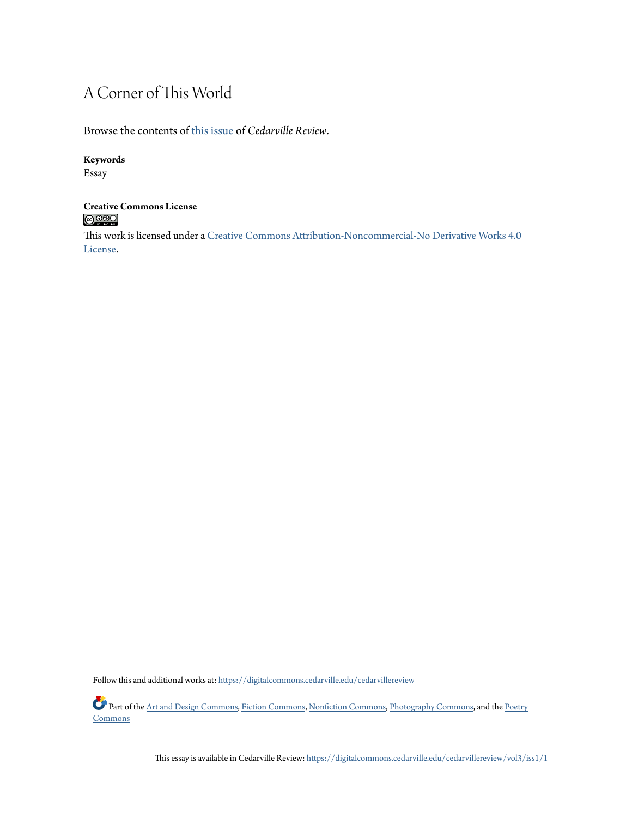### A Corner of This World

Browse the contents of [this issue](https://digitalcommons.cedarville.edu/cedarvillereview/vol3/iss1) of *Cedarville Review*.

#### **Keywords**

Essay

### **Creative Commons License**  $\bigcirc$   $\circ$

This work is licensed under a [Creative Commons Attribution-Noncommercial-No Derivative Works 4.0](http://creativecommons.org/licenses/by-nc-nd/4.0/) [License.](http://creativecommons.org/licenses/by-nc-nd/4.0/)

Follow this and additional works at: [https://digitalcommons.cedarville.edu/cedarvillereview](https://digitalcommons.cedarville.edu/cedarvillereview?utm_source=digitalcommons.cedarville.edu%2Fcedarvillereview%2Fvol3%2Fiss1%2F1&utm_medium=PDF&utm_campaign=PDFCoverPages)

Part of the [Art and Design Commons,](http://network.bepress.com/hgg/discipline/1049?utm_source=digitalcommons.cedarville.edu%2Fcedarvillereview%2Fvol3%2Fiss1%2F1&utm_medium=PDF&utm_campaign=PDFCoverPages) [Fiction Commons,](http://network.bepress.com/hgg/discipline/1151?utm_source=digitalcommons.cedarville.edu%2Fcedarvillereview%2Fvol3%2Fiss1%2F1&utm_medium=PDF&utm_campaign=PDFCoverPages) [Nonfiction Commons,](http://network.bepress.com/hgg/discipline/1152?utm_source=digitalcommons.cedarville.edu%2Fcedarvillereview%2Fvol3%2Fiss1%2F1&utm_medium=PDF&utm_campaign=PDFCoverPages) [Photography Commons,](http://network.bepress.com/hgg/discipline/1142?utm_source=digitalcommons.cedarville.edu%2Fcedarvillereview%2Fvol3%2Fiss1%2F1&utm_medium=PDF&utm_campaign=PDFCoverPages) and the [Poetry](http://network.bepress.com/hgg/discipline/1153?utm_source=digitalcommons.cedarville.edu%2Fcedarvillereview%2Fvol3%2Fiss1%2F1&utm_medium=PDF&utm_campaign=PDFCoverPages) **[Commons](http://network.bepress.com/hgg/discipline/1153?utm_source=digitalcommons.cedarville.edu%2Fcedarvillereview%2Fvol3%2Fiss1%2F1&utm_medium=PDF&utm_campaign=PDFCoverPages)** 

This essay is available in Cedarville Review: [https://digitalcommons.cedarville.edu/cedarvillereview/vol3/iss1/1](https://digitalcommons.cedarville.edu/cedarvillereview/vol3/iss1/1?utm_source=digitalcommons.cedarville.edu%2Fcedarvillereview%2Fvol3%2Fiss1%2F1&utm_medium=PDF&utm_campaign=PDFCoverPages)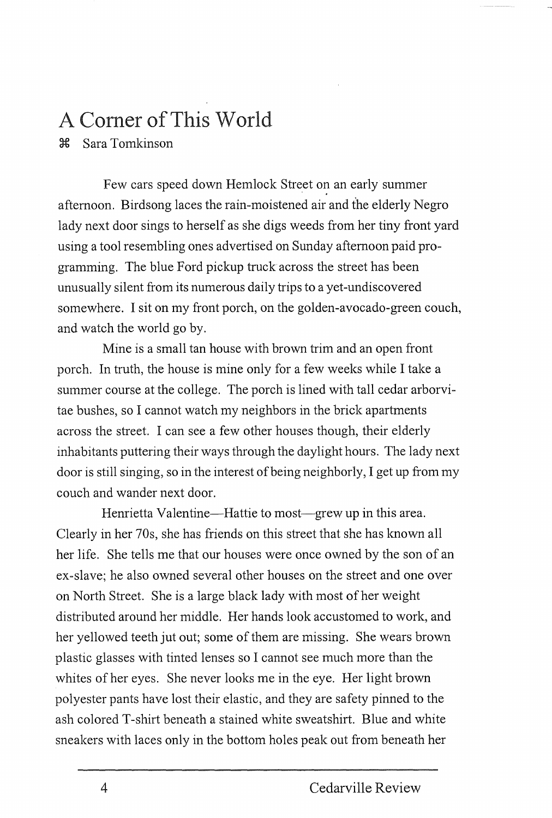### A Comer of This World

~ Sara Tomkinson

Few cars speed down Hemlock Street on an early summer afternoon. Birdsong laces the rain-moistened air and the elderly Negro lady next door sings to herself as she digs weeds from her tiny front yard using a tool resembling ones advertised on Sunday afternoon paid programming. The blue Ford pickup truck across the street has been unusually silent from its numerous daily trips to a yet-undiscovered somewhere. I sit on my front porch, on the golden-avocado-green couch, and watch the world go by.

Mine is a small tan house with brown trim and an open front porch. In truth, the house is mine only for a few weeks while I take a summer course at the college. The porch is lined with tall cedar arborvitae bushes, so I cannot watch my neighbors in the brick apartments across the street. I can see a few other houses though, their elderly inhabitants puttering their ways through the daylight hours. The lady next door is still singing, so in the interest of being neighborly, I get up from my couch and wander next door.

Henrietta Valentine—Hattie to most—grew up in this area. Clearly in her 70s, she has friends on this street that she has known all her life. She tells me that our houses were once owned by the son of an ex-slave; he also owned several other houses on the street and one over on North Street. She is a large black lady with most of her weight distributed around her middle. Her hands look accustomed to work, and her yellowed teeth jut out; some of them are missing. She wears brown plastic glasses with tinted lenses so I cannot see much more than the whites of her eyes. She never looks me in the eye. Her light brown polyester pants have lost their elastic, and they are safety pinned to the ash colored T-shirt beneath a stained white sweatshirt. Blue and white sneakers with laces only in the bottom holes peak out from beneath her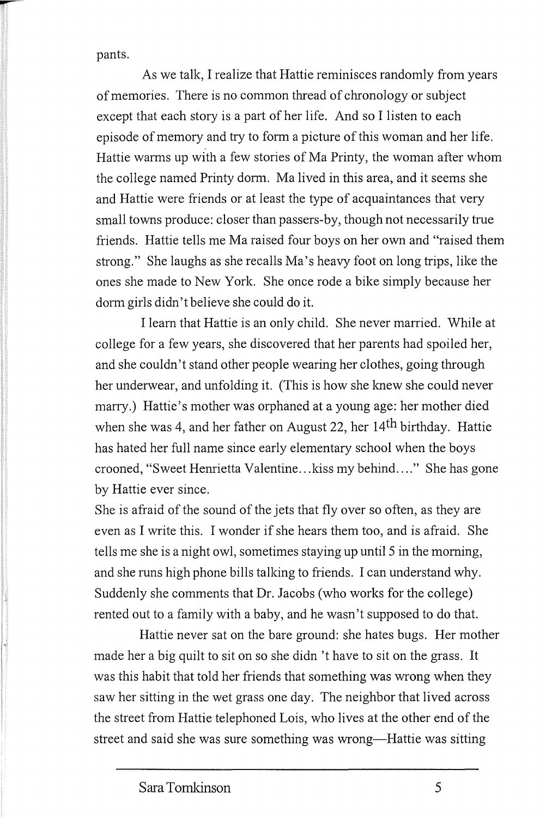pants.

As we talk, I realize that Hattie reminisces randomly from years of memories. There is no common thread of chronology or subject except that each story is a part of her life. And so I listen to each episode of memory and try to form a picture of this woman and her life. Hattie warms up with a few stories of Ma Printy, the woman after whom the college named Printy dorm. Ma lived in this area, and it seems she and Hattie were friends or at least the type of acquaintances that very small towns produce: closer than passers-by, though not necessarily true friends. Hattie tells me Ma raised four boys on her own and "raised them strong." She laughs as she recalls Ma's heavy foot on long trips, like the ones she made to New York. She once rode a bike simply because her dorm girls didn't believe she could do it.

I learn that Hattie is an only child. She never married. While at college for a few years, she discovered that her parents had spoiled her, and she couldn't stand other people wearing her clothes, going through her underwear, and unfolding it. (This is how she knew she could never marry.) Hattie's mother was orphaned at a young age: her mother died when she was 4, and her father on August 22, her 14th birthday. Hattie has hated her full name since early elementary school when the boys crooned, "Sweet Henrietta Valentine... kiss my behind...." She has gone by Hattie ever since.

She is afraid of the sound of the jets that fly over so often, as they are even as I write this. I wonder if she hears them too, and is afraid. She tells me she is a night owl, sometimes staying up until 5 in the morning, and she runs high phone bills talking to friends. I can understand why. Suddenly she comments that Dr. Jacobs (who works for the college) rented out to a family with a baby, and he wasn't supposed to do that.

Hattie never sat on the bare ground: she hates bugs. Her mother made her a big quilt to sit on so she didn't have to sit on the grass. It was this habit that told her friends that something was wrong when they saw her sitting in the wet grass one day. The neighbor that lived across the street from Hattie telephoned Lois, who lives at the other end of the street and said she was sure something was wrong—Hattie was sitting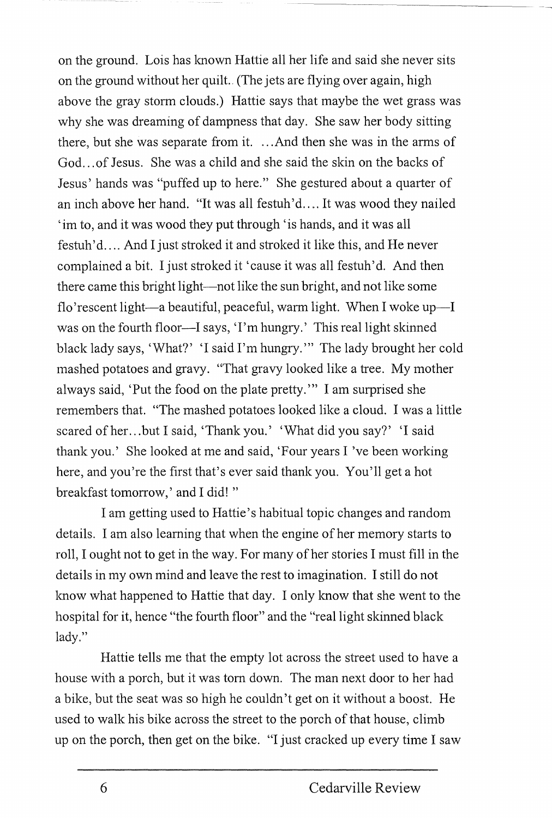on the ground. Lois has lmown Hattie all her life and said she never sits on the ground without her quilt.. (The jets are flying over again, high above the gray storm clouds.) Hattie says that maybe the wet grass was why she was dreaming of dampness that day. She saw her body sitting there, but she was separate from it. ... And then she was in the arms of God... of Jesus. She was a child and she said the skin on the backs of Jesus' hands was "puffed up to here." She gestured about a quarter of an inch above her hand. "It was all festuh'd.... It was wood they nailed 'im to, and it was wood they put through 'is hands, and it was all festuh'd.... And I just stroked it and stroked it like this, and He never complained a bit. I just stroked it 'cause it was all festuh'd. And then there came this bright light-not like the sun bright, and not like some flo'rescent light—a beautiful, peaceful, warm light. When I woke up—I was on the fourth floor-I says, 'I'm hungry.' This real light skinned black lady says, 'What?' 'I said I'm hungry.'" The lady brought her cold mashed potatoes and gravy. "That gravy looked like a tree. My mother al ways said, 'Put the food on the plate pretty."' I am surprised she remembers that. "The mashed potatoes looked like a cloud. I was a little scared of her. .. but I said, 'Thank you.' 'What did you say?' 'I said thank you.' She looked at me and said, 'Four years I've been working here, and you 're the first that's ever said thank you. You'll get a hot breakfast tomorrow,' and I did! "

I am getting used to Hattie's habitual topic changes and random details. I am also learning that when the engine of her memory starts to roll, I ought not to get in the way. For many of her stories I must fill in the details in my own mind and leave the rest to imagination. I still do not know what happened to Hattie that day. I only lmow that she went to the hospital for it, hence "the fourth floor" and the "real light skinned black lady."

Hattie tells me that the empty lot across the street used to have a house with a porch, but it was tom down. The man next door to her had a bike, but the seat was so high he couldn't get on it without a boost. He used to walk his bike across the street to the porch of that house, climb up on the porch, then get on the bike. "I just cracked up every time I saw